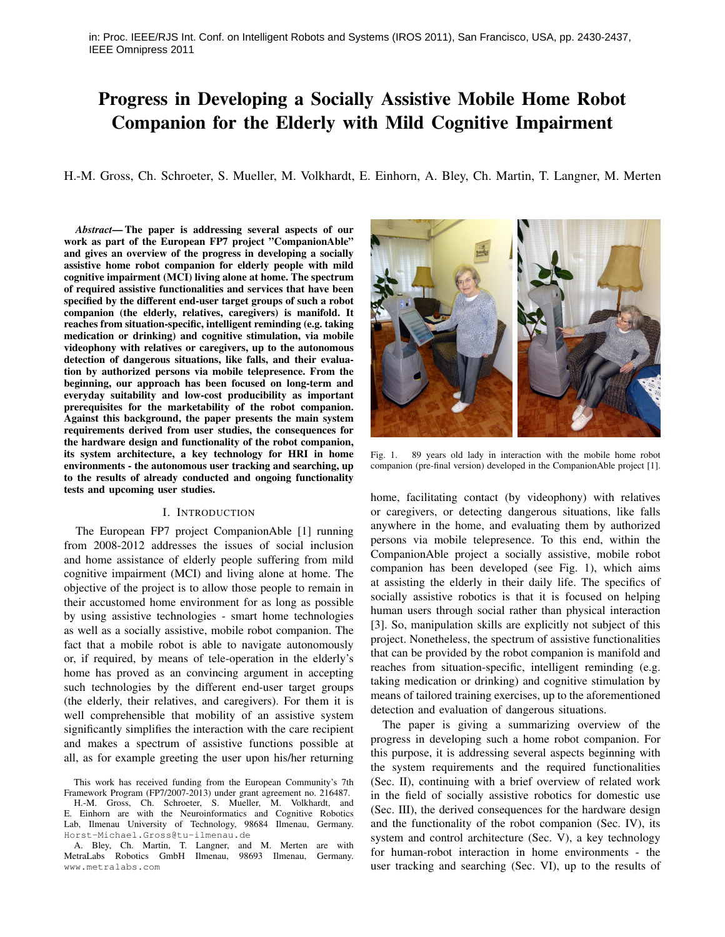# Progress in Developing a Socially Assistive Mobile Home Robot Companion for the Elderly with Mild Cognitive Impairment

H.-M. Gross, Ch. Schroeter, S. Mueller, M. Volkhardt, E. Einhorn, A. Bley, Ch. Martin, T. Langner, M. Merten

*Abstract*— The paper is addressing several aspects of our work as part of the European FP7 project "CompanionAble" and gives an overview of the progress in developing a socially assistive home robot companion for elderly people with mild cognitive impairment (MCI) living alone at home. The spectrum of required assistive functionalities and services that have been specified by the different end-user target groups of such a robot companion (the elderly, relatives, caregivers) is manifold. It reaches from situation-specific, intelligent reminding (e.g. taking medication or drinking) and cognitive stimulation, via mobile videophony with relatives or caregivers, up to the autonomous detection of dangerous situations, like falls, and their evaluation by authorized persons via mobile telepresence. From the beginning, our approach has been focused on long-term and everyday suitability and low-cost producibility as important prerequisites for the marketability of the robot companion. Against this background, the paper presents the main system requirements derived from user studies, the consequences for the hardware design and functionality of the robot companion, its system architecture, a key technology for HRI in home environments - the autonomous user tracking and searching, up to the results of already conducted and ongoing functionality tests and upcoming user studies.

#### I. INTRODUCTION

The European FP7 project CompanionAble [1] running from 2008-2012 addresses the issues of social inclusion and home assistance of elderly people suffering from mild cognitive impairment (MCI) and living alone at home. The objective of the project is to allow those people to remain in their accustomed home environment for as long as possible by using assistive technologies - smart home technologies as well as a socially assistive, mobile robot companion. The fact that a mobile robot is able to navigate autonomously or, if required, by means of tele-operation in the elderly's home has proved as an convincing argument in accepting such technologies by the different end-user target groups (the elderly, their relatives, and caregivers). For them it is well comprehensible that mobility of an assistive system significantly simplifies the interaction with the care recipient and makes a spectrum of assistive functions possible at all, as for example greeting the user upon his/her returning



Fig. 1. 89 years old lady in interaction with the mobile home robot companion (pre-final version) developed in the CompanionAble project [1].

home, facilitating contact (by videophony) with relatives or caregivers, or detecting dangerous situations, like falls anywhere in the home, and evaluating them by authorized persons via mobile telepresence. To this end, within the CompanionAble project a socially assistive, mobile robot companion has been developed (see Fig. 1), which aims at assisting the elderly in their daily life. The specifics of socially assistive robotics is that it is focused on helping human users through social rather than physical interaction [3]. So, manipulation skills are explicitly not subject of this project. Nonetheless, the spectrum of assistive functionalities that can be provided by the robot companion is manifold and reaches from situation-specific, intelligent reminding (e.g. taking medication or drinking) and cognitive stimulation by means of tailored training exercises, up to the aforementioned detection and evaluation of dangerous situations.

The paper is giving a summarizing overview of the progress in developing such a home robot companion. For this purpose, it is addressing several aspects beginning with the system requirements and the required functionalities (Sec. II), continuing with a brief overview of related work in the field of socially assistive robotics for domestic use (Sec. III), the derived consequences for the hardware design and the functionality of the robot companion (Sec. IV), its system and control architecture (Sec. V), a key technology for human-robot interaction in home environments - the user tracking and searching (Sec. VI), up to the results of

This work has received funding from the European Community's 7th Framework Program (FP7/2007-2013) under grant agreement no. 216487.

H.-M. Gross, Ch. Schroeter, S. Mueller, M. Volkhardt, and E. Einhorn are with the Neuroinformatics and Cognitive Robotics Lab, Ilmenau University of Technology, 98684 Ilmenau, Germany. Horst-Michael.Gross@tu-ilmenau.de

A. Bley, Ch. Martin, T. Langner, and M. Merten are with MetraLabs Robotics GmbH Ilmenau, 98693 Ilmenau, Germany. www.metralabs.com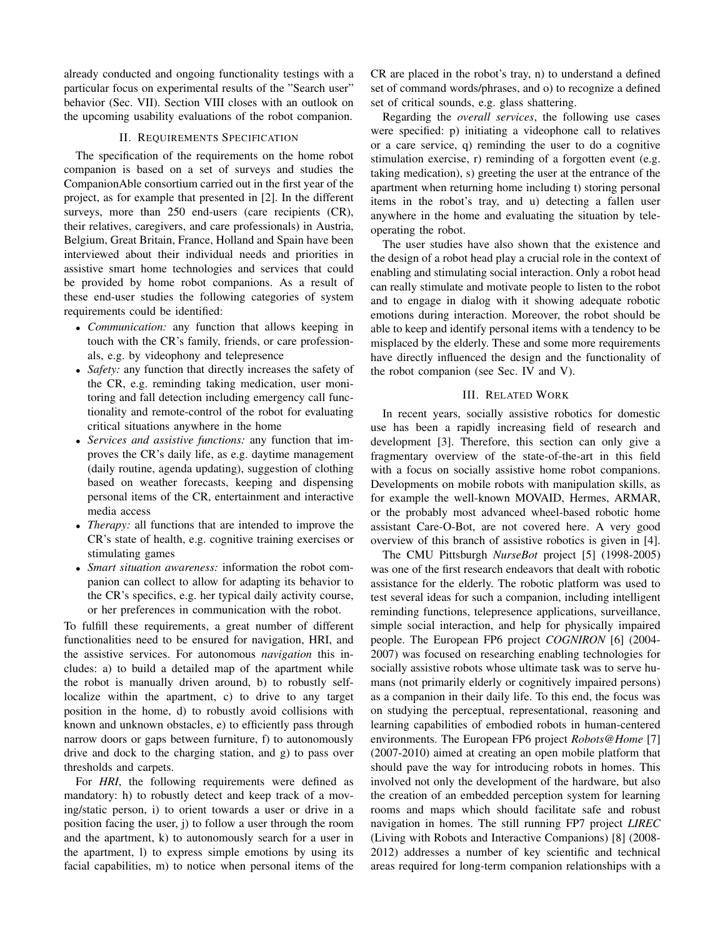already conducted and ongoing functionality testings with a particular focus on experimental results of the "Search user" behavior (Sec. VII). Section VIII closes with an outlook on the upcoming usability evaluations of the robot companion.

# II. REQUIREMENTS SPECIFICATION

The specification of the requirements on the home robot companion is based on a set of surveys and studies the CompanionAble consortium carried out in the first year of the project, as for example that presented in [2]. In the different surveys, more than 250 end-users (care recipients (CR), their relatives, caregivers, and care professionals) in Austria, Belgium, Great Britain, France, Holland and Spain have been interviewed about their individual needs and priorities in assistive smart home technologies and services that could be provided by home robot companions. As a result of these end-user studies the following categories of system requirements could be identified:

- *Communication:* any function that allows keeping in touch with the CR's family, friends, or care professionals, e.g. by videophony and telepresence
- *Safety:* any function that directly increases the safety of the CR, e.g. reminding taking medication, user monitoring and fall detection including emergency call functionality and remote-control of the robot for evaluating critical situations anywhere in the home
- *Services and assistive functions:* any function that improves the CR's daily life, as e.g. daytime management (daily routine, agenda updating), suggestion of clothing based on weather forecasts, keeping and dispensing personal items of the CR, entertainment and interactive media access
- *Therapy:* all functions that are intended to improve the CR's state of health, e.g. cognitive training exercises or stimulating games
- *Smart situation awareness:* information the robot companion can collect to allow for adapting its behavior to the CR's specifics, e.g. her typical daily activity course, or her preferences in communication with the robot.

To fulfill these requirements, a great number of different functionalities need to be ensured for navigation, HRI, and the assistive services. For autonomous *navigation* this includes: a) to build a detailed map of the apartment while the robot is manually driven around, b) to robustly selflocalize within the apartment, c) to drive to any target position in the home, d) to robustly avoid collisions with known and unknown obstacles, e) to efficiently pass through narrow doors or gaps between furniture, f) to autonomously drive and dock to the charging station, and g) to pass over thresholds and carpets.

For *HRI*, the following requirements were defined as mandatory: h) to robustly detect and keep track of a moving/static person, i) to orient towards a user or drive in a position facing the user, j) to follow a user through the room and the apartment, k) to autonomously search for a user in the apartment, l) to express simple emotions by using its facial capabilities, m) to notice when personal items of the

CR are placed in the robot's tray, n) to understand a defined set of command words/phrases, and o) to recognize a defined set of critical sounds, e.g. glass shattering.

Regarding the *overall services*, the following use cases were specified: p) initiating a videophone call to relatives or a care service, q) reminding the user to do a cognitive stimulation exercise, r) reminding of a forgotten event (e.g. taking medication), s) greeting the user at the entrance of the apartment when returning home including t) storing personal items in the robot's tray, and u) detecting a fallen user anywhere in the home and evaluating the situation by teleoperating the robot.

The user studies have also shown that the existence and the design of a robot head play a crucial role in the context of enabling and stimulating social interaction. Only a robot head can really stimulate and motivate people to listen to the robot and to engage in dialog with it showing adequate robotic emotions during interaction. Moreover, the robot should be able to keep and identify personal items with a tendency to be misplaced by the elderly. These and some more requirements have directly influenced the design and the functionality of the robot companion (see Sec. IV and V).

## III. RELATED WORK

In recent years, socially assistive robotics for domestic use has been a rapidly increasing field of research and development [3]. Therefore, this section can only give a fragmentary overview of the state-of-the-art in this field with a focus on socially assistive home robot companions. Developments on mobile robots with manipulation skills, as for example the well-known MOVAID, Hermes, ARMAR, or the probably most advanced wheel-based robotic home assistant Care-O-Bot, are not covered here. A very good overview of this branch of assistive robotics is given in [4].

The CMU Pittsburgh *NurseBot* project [5] (1998-2005) was one of the first research endeavors that dealt with robotic assistance for the elderly. The robotic platform was used to test several ideas for such a companion, including intelligent reminding functions, telepresence applications, surveillance, simple social interaction, and help for physically impaired people. The European FP6 project *COGNIRON* [6] (2004- 2007) was focused on researching enabling technologies for socially assistive robots whose ultimate task was to serve humans (not primarily elderly or cognitively impaired persons) as a companion in their daily life. To this end, the focus was on studying the perceptual, representational, reasoning and learning capabilities of embodied robots in human-centered environments. The European FP6 project *Robots@Home* [7] (2007-2010) aimed at creating an open mobile platform that should pave the way for introducing robots in homes. This involved not only the development of the hardware, but also the creation of an embedded perception system for learning rooms and maps which should facilitate safe and robust navigation in homes. The still running FP7 project *LIREC* (Living with Robots and Interactive Companions) [8] (2008- 2012) addresses a number of key scientific and technical areas required for long-term companion relationships with a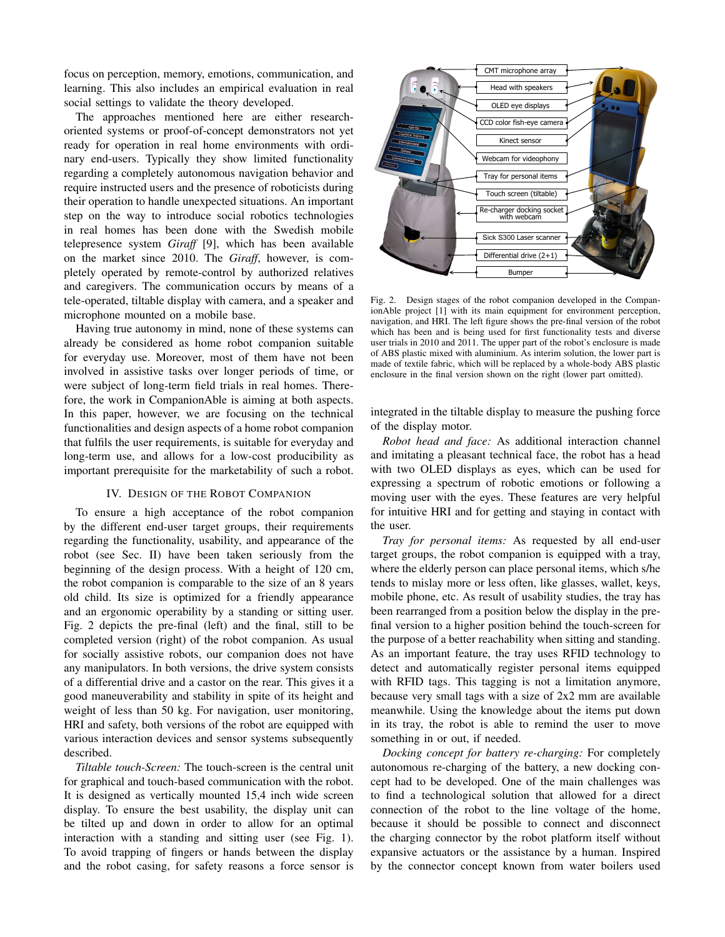focus on perception, memory, emotions, communication, and learning. This also includes an empirical evaluation in real social settings to validate the theory developed.

The approaches mentioned here are either researchoriented systems or proof-of-concept demonstrators not yet ready for operation in real home environments with ordinary end-users. Typically they show limited functionality regarding a completely autonomous navigation behavior and require instructed users and the presence of roboticists during their operation to handle unexpected situations. An important step on the way to introduce social robotics technologies in real homes has been done with the Swedish mobile telepresence system *Giraff* [9], which has been available on the market since 2010. The *Giraff*, however, is completely operated by remote-control by authorized relatives and caregivers. The communication occurs by means of a tele-operated, tiltable display with camera, and a speaker and microphone mounted on a mobile base.

Having true autonomy in mind, none of these systems can already be considered as home robot companion suitable for everyday use. Moreover, most of them have not been involved in assistive tasks over longer periods of time, or were subject of long-term field trials in real homes. Therefore, the work in CompanionAble is aiming at both aspects. In this paper, however, we are focusing on the technical functionalities and design aspects of a home robot companion that fulfils the user requirements, is suitable for everyday and long-term use, and allows for a low-cost producibility as important prerequisite for the marketability of such a robot.

# IV. DESIGN OF THE ROBOT COMPANION

To ensure a high acceptance of the robot companion by the different end-user target groups, their requirements regarding the functionality, usability, and appearance of the robot (see Sec. II) have been taken seriously from the beginning of the design process. With a height of 120 cm, the robot companion is comparable to the size of an 8 years old child. Its size is optimized for a friendly appearance and an ergonomic operability by a standing or sitting user. Fig. 2 depicts the pre-final (left) and the final, still to be completed version (right) of the robot companion. As usual for socially assistive robots, our companion does not have any manipulators. In both versions, the drive system consists of a differential drive and a castor on the rear. This gives it a good maneuverability and stability in spite of its height and weight of less than 50 kg. For navigation, user monitoring, HRI and safety, both versions of the robot are equipped with various interaction devices and sensor systems subsequently described.

*Tiltable touch-Screen:* The touch-screen is the central unit for graphical and touch-based communication with the robot. It is designed as vertically mounted 15,4 inch wide screen display. To ensure the best usability, the display unit can be tilted up and down in order to allow for an optimal interaction with a standing and sitting user (see Fig. 1). To avoid trapping of fingers or hands between the display and the robot casing, for safety reasons a force sensor is



Fig. 2. Design stages of the robot companion developed in the CompanionAble project [1] with its main equipment for environment perception, navigation, and HRI. The left figure shows the pre-final version of the robot which has been and is being used for first functionality tests and diverse user trials in 2010 and 2011. The upper part of the robot's enclosure is made of ABS plastic mixed with aluminium. As interim solution, the lower part is made of textile fabric, which will be replaced by a whole-body ABS plastic enclosure in the final version shown on the right (lower part omitted).

integrated in the tiltable display to measure the pushing force of the display motor.

*Robot head and face:* As additional interaction channel and imitating a pleasant technical face, the robot has a head with two OLED displays as eyes, which can be used for expressing a spectrum of robotic emotions or following a moving user with the eyes. These features are very helpful for intuitive HRI and for getting and staying in contact with the user.

*Tray for personal items:* As requested by all end-user target groups, the robot companion is equipped with a tray, where the elderly person can place personal items, which s/he tends to mislay more or less often, like glasses, wallet, keys, mobile phone, etc. As result of usability studies, the tray has been rearranged from a position below the display in the prefinal version to a higher position behind the touch-screen for the purpose of a better reachability when sitting and standing. As an important feature, the tray uses RFID technology to detect and automatically register personal items equipped with RFID tags. This tagging is not a limitation anymore, because very small tags with a size of 2x2 mm are available meanwhile. Using the knowledge about the items put down in its tray, the robot is able to remind the user to move something in or out, if needed.

*Docking concept for battery re-charging:* For completely autonomous re-charging of the battery, a new docking concept had to be developed. One of the main challenges was to find a technological solution that allowed for a direct connection of the robot to the line voltage of the home, because it should be possible to connect and disconnect the charging connector by the robot platform itself without expansive actuators or the assistance by a human. Inspired by the connector concept known from water boilers used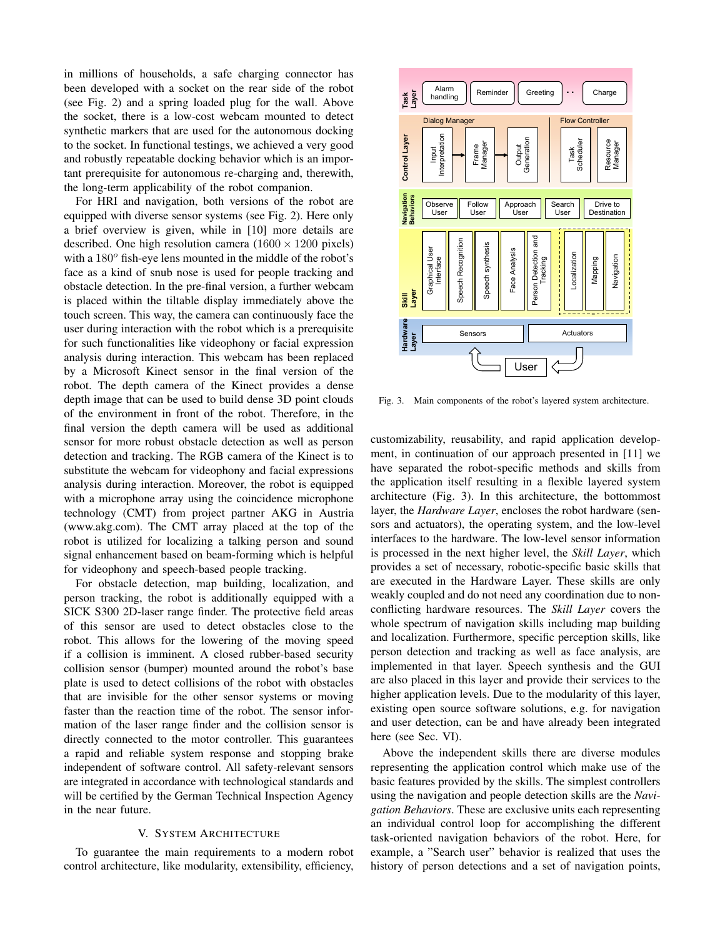in millions of households, a safe charging connector has been developed with a socket on the rear side of the robot (see Fig. 2) and a spring loaded plug for the wall. Above the socket, there is a low-cost webcam mounted to detect synthetic markers that are used for the autonomous docking to the socket. In functional testings, we achieved a very good and robustly repeatable docking behavior which is an important prerequisite for autonomous re-charging and, therewith, the long-term applicability of the robot companion.

For HRI and navigation, both versions of the robot are equipped with diverse sensor systems (see Fig. 2). Here only a brief overview is given, while in [10] more details are described. One high resolution camera  $(1600 \times 1200)$  pixels) with a  $180^\circ$  fish-eye lens mounted in the middle of the robot's face as a kind of snub nose is used for people tracking and obstacle detection. In the pre-final version, a further webcam is placed within the tiltable display immediately above the touch screen. This way, the camera can continuously face the user during interaction with the robot which is a prerequisite for such functionalities like videophony or facial expression analysis during interaction. This webcam has been replaced by a Microsoft Kinect sensor in the final version of the robot. The depth camera of the Kinect provides a dense depth image that can be used to build dense 3D point clouds of the environment in front of the robot. Therefore, in the final version the depth camera will be used as additional sensor for more robust obstacle detection as well as person detection and tracking. The RGB camera of the Kinect is to substitute the webcam for videophony and facial expressions analysis during interaction. Moreover, the robot is equipped with a microphone array using the coincidence microphone technology (CMT) from project partner AKG in Austria (www.akg.com). The CMT array placed at the top of the robot is utilized for localizing a talking person and sound signal enhancement based on beam-forming which is helpful for videophony and speech-based people tracking.

For obstacle detection, map building, localization, and person tracking, the robot is additionally equipped with a SICK S300 2D-laser range finder. The protective field areas of this sensor are used to detect obstacles close to the robot. This allows for the lowering of the moving speed if a collision is imminent. A closed rubber-based security collision sensor (bumper) mounted around the robot's base plate is used to detect collisions of the robot with obstacles that are invisible for the other sensor systems or moving faster than the reaction time of the robot. The sensor information of the laser range finder and the collision sensor is directly connected to the motor controller. This guarantees a rapid and reliable system response and stopping brake independent of software control. All safety-relevant sensors are integrated in accordance with technological standards and will be certified by the German Technical Inspection Agency in the near future.

#### V. SYSTEM ARCHITECTURE

To guarantee the main requirements to a modern robot control architecture, like modularity, extensibility, efficiency,



Fig. 3. Main components of the robot's layered system architecture.

customizability, reusability, and rapid application development, in continuation of our approach presented in [11] we have separated the robot-specific methods and skills from the application itself resulting in a flexible layered system architecture (Fig. 3). In this architecture, the bottommost layer, the *Hardware Layer*, encloses the robot hardware (sensors and actuators), the operating system, and the low-level interfaces to the hardware. The low-level sensor information is processed in the next higher level, the *Skill Layer*, which provides a set of necessary, robotic-specific basic skills that are executed in the Hardware Layer. These skills are only weakly coupled and do not need any coordination due to nonconflicting hardware resources. The *Skill Layer* covers the whole spectrum of navigation skills including map building and localization. Furthermore, specific perception skills, like person detection and tracking as well as face analysis, are implemented in that layer. Speech synthesis and the GUI are also placed in this layer and provide their services to the higher application levels. Due to the modularity of this layer, existing open source software solutions, e.g. for navigation and user detection, can be and have already been integrated here (see Sec. VI).

Above the independent skills there are diverse modules representing the application control which make use of the basic features provided by the skills. The simplest controllers using the navigation and people detection skills are the *Navigation Behaviors*. These are exclusive units each representing an individual control loop for accomplishing the different task-oriented navigation behaviors of the robot. Here, for example, a "Search user" behavior is realized that uses the history of person detections and a set of navigation points,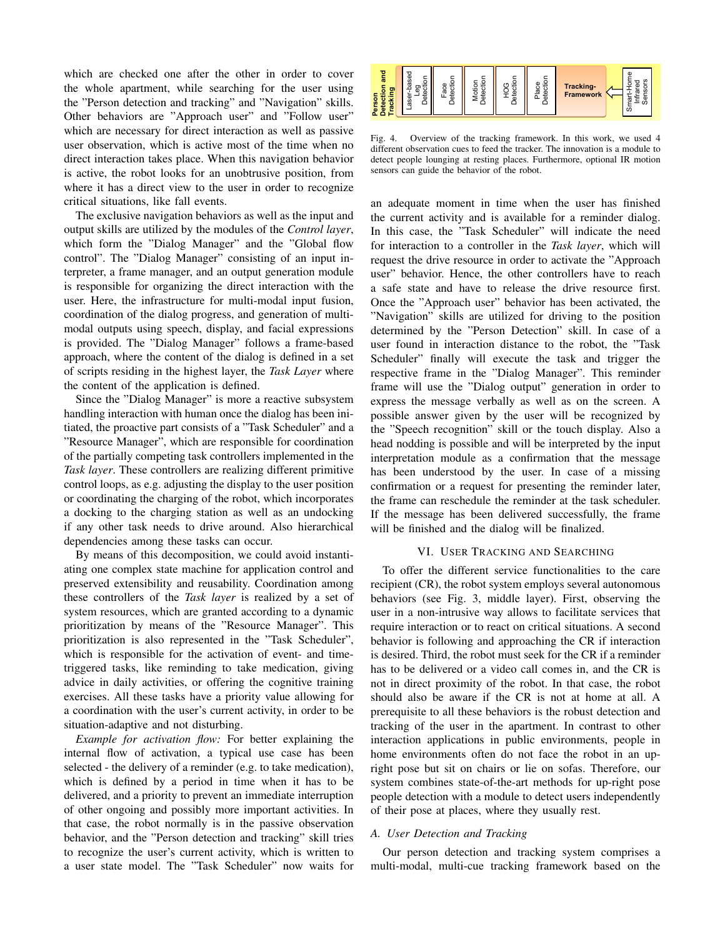which are checked one after the other in order to cover the whole apartment, while searching for the user using the "Person detection and tracking" and "Navigation" skills. Other behaviors are "Approach user" and "Follow user" which are necessary for direct interaction as well as passive user observation, which is active most of the time when no direct interaction takes place. When this navigation behavior is active, the robot looks for an unobtrusive position, from where it has a direct view to the user in order to recognize critical situations, like fall events.

The exclusive navigation behaviors as well as the input and output skills are utilized by the modules of the *Control layer*, which form the "Dialog Manager" and the "Global flow control". The "Dialog Manager" consisting of an input interpreter, a frame manager, and an output generation module is responsible for organizing the direct interaction with the user. Here, the infrastructure for multi-modal input fusion, coordination of the dialog progress, and generation of multimodal outputs using speech, display, and facial expressions is provided. The "Dialog Manager" follows a frame-based approach, where the content of the dialog is defined in a set of scripts residing in the highest layer, the *Task Layer* where the content of the application is defined. which are checked one after the orient to orient the orient is of the propagation of the "Papel and the the model in the state model. The model is the transfer of the model in the state model in the state model in the sta

Since the "Dialog Manager" is more a reactive subsystem handling interaction with human once the dialog has been initiated, the proactive part consists of a "Task Scheduler" and a "Resource Manager", which are responsible for coordination of the partially competing task controllers implemented in the *Task layer*. These controllers are realizing different primitive control loops, as e.g. adjusting the display to the user position or coordinating the charging of the robot, which incorporates a docking to the charging station as well as an undocking if any other task needs to drive around. Also hierarchical dependencies among these tasks can occur.

By means of this decomposition, we could avoid instantiating one complex state machine for application control and preserved extensibility and reusability. Coordination among these controllers of the *Task layer* is realized by a set of system resources, which are granted according to a dynamic prioritization by means of the "Resource Manager". This prioritization is also represented in the "Task Scheduler", which is responsible for the activation of event- and timetriggered tasks, like reminding to take medication, giving advice in daily activities, or offering the cognitive training exercises. All these tasks have a priority value allowing for a coordination with the user's current activity, in order to be situation-adaptive and not disturbing.

*Example for activation flow:* For better explaining the internal flow of activation, a typical use case has been selected - the delivery of a reminder (e.g. to take medication), which is defined by a period in time when it has to be delivered, and a priority to prevent an immediate interruption of other ongoing and possibly more important activities. In that case, the robot normally is in the passive observation behavior, and the "Person detection and tracking" skill tries to recognize the user's current activity, which is written to



Fig. 4. Overview of the tracking framework. In this work, we used 4 different observation cues to feed the tracker. The innovation is a module to detect people lounging at resting places. Furthermore, optional IR motion sensors can guide the behavior of the robot.

an adequate moment in time when the user has finished the current activity and is available for a reminder dialog. In this case, the "Task Scheduler" will indicate the need for interaction to a controller in the *Task layer*, which will request the drive resource in order to activate the "Approach user" behavior. Hence, the other controllers have to reach a safe state and have to release the drive resource first. Once the "Approach user" behavior has been activated, the "Navigation" skills are utilized for driving to the position determined by the "Person Detection" skill. In case of a user found in interaction distance to the robot, the "Task Scheduler" finally will execute the task and trigger the respective frame in the "Dialog Manager". This reminder frame will use the "Dialog output" generation in order to express the message verbally as well as on the screen. A possible answer given by the user will be recognized by the "Speech recognition" skill or the touch display. Also a head nodding is possible and will be interpreted by the input interpretation module as a confirmation that the message has been understood by the user. In case of a missing confirmation or a request for presenting the reminder later, the frame can reschedule the reminder at the task scheduler. If the message has been delivered successfully, the frame will be finished and the dialog will be finalized.

#### VI. USER TRACKING AND SEARCHING

To offer the different service functionalities to the care recipient (CR), the robot system employs several autonomous behaviors (see Fig. 3, middle layer). First, observing the user in a non-intrusive way allows to facilitate services that require interaction or to react on critical situations. A second behavior is following and approaching the CR if interaction is desired. Third, the robot must seek for the CR if a reminder has to be delivered or a video call comes in, and the CR is not in direct proximity of the robot. In that case, the robot should also be aware if the CR is not at home at all. A prerequisite to all these behaviors is the robust detection and tracking of the user in the apartment. In contrast to other interaction applications in public environments, people in home environments often do not face the robot in an upright pose but sit on chairs or lie on sofas. Therefore, our system combines state-of-the-art methods for up-right pose people detection with a module to detect users independently of their pose at places, where they usually rest.

## *A. User Detection and Tracking*

Our person detection and tracking system comprises a multi-modal, multi-cue tracking framework based on the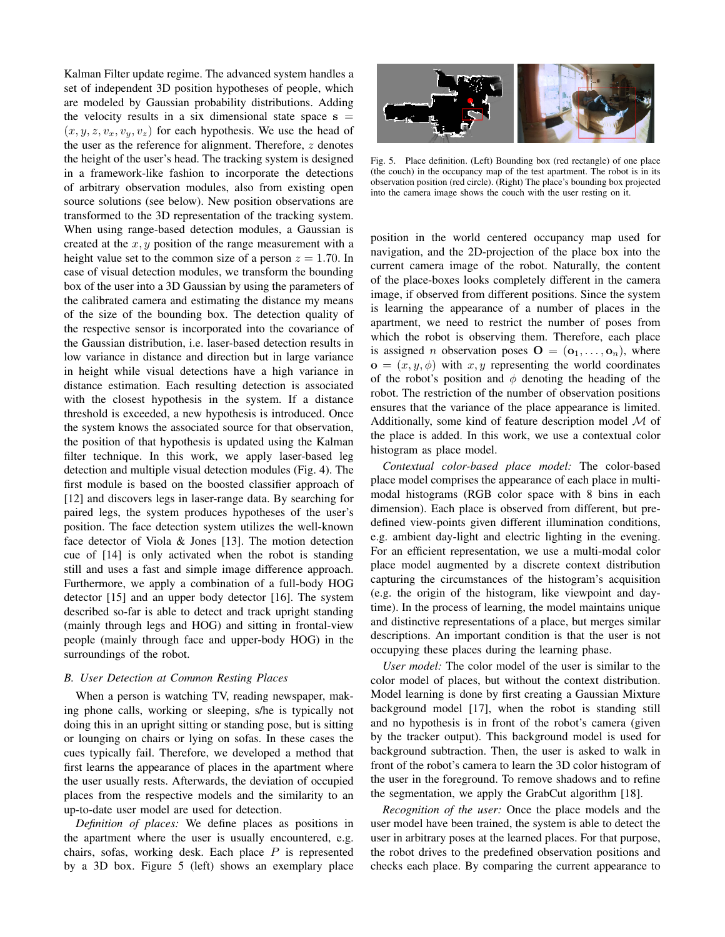Kalman Filter update regime. The advanced system handles a set of independent 3D position hypotheses of people, which are modeled by Gaussian probability distributions. Adding the velocity results in a six dimensional state space  $s =$  $(x, y, z, v_x, v_y, v_z)$  for each hypothesis. We use the head of the user as the reference for alignment. Therefore, z denotes the height of the user's head. The tracking system is designed in a framework-like fashion to incorporate the detections of arbitrary observation modules, also from existing open source solutions (see below). New position observations are transformed to the 3D representation of the tracking system. When using range-based detection modules, a Gaussian is created at the  $x, y$  position of the range measurement with a height value set to the common size of a person  $z = 1.70$ . In case of visual detection modules, we transform the bounding box of the user into a 3D Gaussian by using the parameters of the calibrated camera and estimating the distance my means of the size of the bounding box. The detection quality of the respective sensor is incorporated into the covariance of the Gaussian distribution, i.e. laser-based detection results in low variance in distance and direction but in large variance in height while visual detections have a high variance in distance estimation. Each resulting detection is associated with the closest hypothesis in the system. If a distance threshold is exceeded, a new hypothesis is introduced. Once the system knows the associated source for that observation, the position of that hypothesis is updated using the Kalman filter technique. In this work, we apply laser-based leg detection and multiple visual detection modules (Fig. 4). The first module is based on the boosted classifier approach of [12] and discovers legs in laser-range data. By searching for paired legs, the system produces hypotheses of the user's position. The face detection system utilizes the well-known face detector of Viola & Jones [13]. The motion detection cue of [14] is only activated when the robot is standing still and uses a fast and simple image difference approach. Furthermore, we apply a combination of a full-body HOG detector [15] and an upper body detector [16]. The system described so-far is able to detect and track upright standing (mainly through legs and HOG) and sitting in frontal-view people (mainly through face and upper-body HOG) in the surroundings of the robot.

# *B. User Detection at Common Resting Places*

When a person is watching TV, reading newspaper, making phone calls, working or sleeping, s/he is typically not doing this in an upright sitting or standing pose, but is sitting or lounging on chairs or lying on sofas. In these cases the cues typically fail. Therefore, we developed a method that first learns the appearance of places in the apartment where the user usually rests. Afterwards, the deviation of occupied places from the respective models and the similarity to an up-to-date user model are used for detection.

*Definition of places:* We define places as positions in the apartment where the user is usually encountered, e.g. chairs, sofas, working desk. Each place  $P$  is represented by a 3D box. Figure 5 (left) shows an exemplary place



Fig. 5. Place definition. (Left) Bounding box (red rectangle) of one place (the couch) in the occupancy map of the test apartment. The robot is in its observation position (red circle). (Right) The place's bounding box projected into the camera image shows the couch with the user resting on it.

position in the world centered occupancy map used for navigation, and the 2D-projection of the place box into the current camera image of the robot. Naturally, the content of the place-boxes looks completely different in the camera image, if observed from different positions. Since the system is learning the appearance of a number of places in the apartment, we need to restrict the number of poses from which the robot is observing them. Therefore, each place is assigned *n* observation poses  $\mathbf{O} = (\mathbf{o}_1, \dots, \mathbf{o}_n)$ , where  $\mathbf{o} = (x, y, \phi)$  with  $x, y$  representing the world coordinates of the robot's position and  $\phi$  denoting the heading of the robot. The restriction of the number of observation positions ensures that the variance of the place appearance is limited. Additionally, some kind of feature description model  $M$  of the place is added. In this work, we use a contextual color histogram as place model.

*Contextual color-based place model:* The color-based place model comprises the appearance of each place in multimodal histograms (RGB color space with 8 bins in each dimension). Each place is observed from different, but predefined view-points given different illumination conditions, e.g. ambient day-light and electric lighting in the evening. For an efficient representation, we use a multi-modal color place model augmented by a discrete context distribution capturing the circumstances of the histogram's acquisition (e.g. the origin of the histogram, like viewpoint and daytime). In the process of learning, the model maintains unique and distinctive representations of a place, but merges similar descriptions. An important condition is that the user is not occupying these places during the learning phase.

*User model:* The color model of the user is similar to the color model of places, but without the context distribution. Model learning is done by first creating a Gaussian Mixture background model [17], when the robot is standing still and no hypothesis is in front of the robot's camera (given by the tracker output). This background model is used for background subtraction. Then, the user is asked to walk in front of the robot's camera to learn the 3D color histogram of the user in the foreground. To remove shadows and to refine the segmentation, we apply the GrabCut algorithm [18].

*Recognition of the user:* Once the place models and the user model have been trained, the system is able to detect the user in arbitrary poses at the learned places. For that purpose, the robot drives to the predefined observation positions and checks each place. By comparing the current appearance to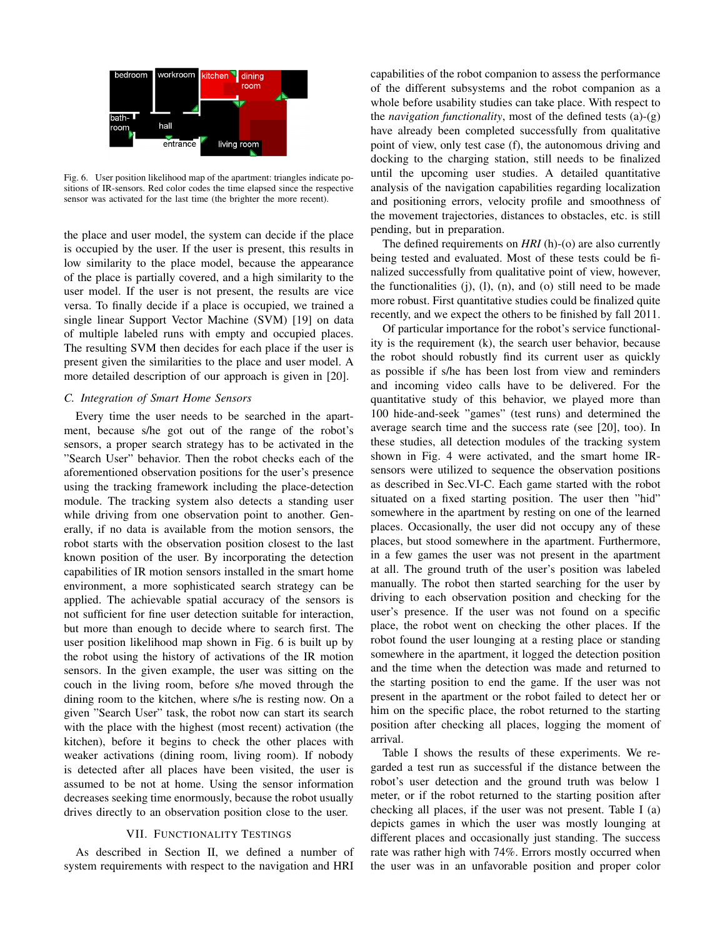

Fig. 6. User position likelihood map of the apartment: triangles indicate positions of IR-sensors. Red color codes the time elapsed since the respective sensor was activated for the last time (the brighter the more recent).

the place and user model, the system can decide if the place is occupied by the user. If the user is present, this results in low similarity to the place model, because the appearance of the place is partially covered, and a high similarity to the user model. If the user is not present, the results are vice versa. To finally decide if a place is occupied, we trained a single linear Support Vector Machine (SVM) [19] on data of multiple labeled runs with empty and occupied places. The resulting SVM then decides for each place if the user is present given the similarities to the place and user model. A more detailed description of our approach is given in [20].

#### *C. Integration of Smart Home Sensors*

Every time the user needs to be searched in the apartment, because s/he got out of the range of the robot's sensors, a proper search strategy has to be activated in the "Search User" behavior. Then the robot checks each of the aforementioned observation positions for the user's presence using the tracking framework including the place-detection module. The tracking system also detects a standing user while driving from one observation point to another. Generally, if no data is available from the motion sensors, the robot starts with the observation position closest to the last known position of the user. By incorporating the detection capabilities of IR motion sensors installed in the smart home environment, a more sophisticated search strategy can be applied. The achievable spatial accuracy of the sensors is not sufficient for fine user detection suitable for interaction, but more than enough to decide where to search first. The user position likelihood map shown in Fig. 6 is built up by the robot using the history of activations of the IR motion sensors. In the given example, the user was sitting on the couch in the living room, before s/he moved through the dining room to the kitchen, where s/he is resting now. On a given "Search User" task, the robot now can start its search with the place with the highest (most recent) activation (the kitchen), before it begins to check the other places with weaker activations (dining room, living room). If nobody is detected after all places have been visited, the user is assumed to be not at home. Using the sensor information decreases seeking time enormously, because the robot usually drives directly to an observation position close to the user.

## VII. FUNCTIONALITY TESTINGS

As described in Section II, we defined a number of system requirements with respect to the navigation and HRI capabilities of the robot companion to assess the performance of the different subsystems and the robot companion as a whole before usability studies can take place. With respect to the *navigation functionality*, most of the defined tests (a)-(g) have already been completed successfully from qualitative point of view, only test case (f), the autonomous driving and docking to the charging station, still needs to be finalized until the upcoming user studies. A detailed quantitative analysis of the navigation capabilities regarding localization and positioning errors, velocity profile and smoothness of the movement trajectories, distances to obstacles, etc. is still pending, but in preparation.

The defined requirements on *HRI* (h)-(o) are also currently being tested and evaluated. Most of these tests could be finalized successfully from qualitative point of view, however, the functionalities  $(i)$ ,  $(l)$ ,  $(n)$ , and  $(o)$  still need to be made more robust. First quantitative studies could be finalized quite recently, and we expect the others to be finished by fall 2011.

Of particular importance for the robot's service functionality is the requirement (k), the search user behavior, because the robot should robustly find its current user as quickly as possible if s/he has been lost from view and reminders and incoming video calls have to be delivered. For the quantitative study of this behavior, we played more than 100 hide-and-seek "games" (test runs) and determined the average search time and the success rate (see [20], too). In these studies, all detection modules of the tracking system shown in Fig. 4 were activated, and the smart home IRsensors were utilized to sequence the observation positions as described in Sec.VI-C. Each game started with the robot situated on a fixed starting position. The user then "hid" somewhere in the apartment by resting on one of the learned places. Occasionally, the user did not occupy any of these places, but stood somewhere in the apartment. Furthermore, in a few games the user was not present in the apartment at all. The ground truth of the user's position was labeled manually. The robot then started searching for the user by driving to each observation position and checking for the user's presence. If the user was not found on a specific place, the robot went on checking the other places. If the robot found the user lounging at a resting place or standing somewhere in the apartment, it logged the detection position and the time when the detection was made and returned to the starting position to end the game. If the user was not present in the apartment or the robot failed to detect her or him on the specific place, the robot returned to the starting position after checking all places, logging the moment of arrival.

Table I shows the results of these experiments. We regarded a test run as successful if the distance between the robot's user detection and the ground truth was below 1 meter, or if the robot returned to the starting position after checking all places, if the user was not present. Table I (a) depicts games in which the user was mostly lounging at different places and occasionally just standing. The success rate was rather high with 74%. Errors mostly occurred when the user was in an unfavorable position and proper color